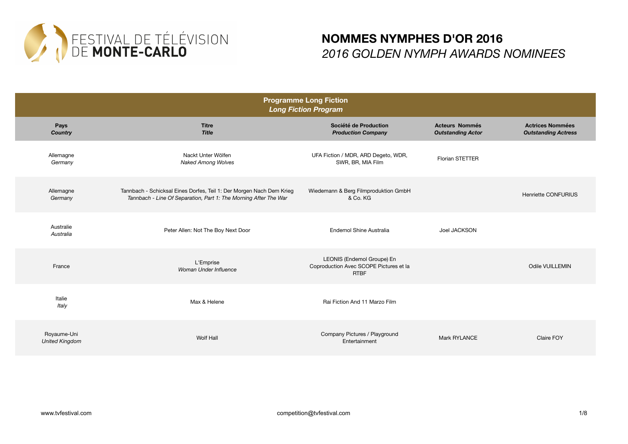

| <b>Programme Long Fiction</b><br><b>Long Fiction Program</b> |                                                                                                                                          |                                                                                     |                                                   |                                                       |
|--------------------------------------------------------------|------------------------------------------------------------------------------------------------------------------------------------------|-------------------------------------------------------------------------------------|---------------------------------------------------|-------------------------------------------------------|
| Pays<br><b>Country</b>                                       | <b>Titre</b><br><b>Title</b>                                                                                                             | Société de Production<br><b>Production Company</b>                                  | <b>Acteurs Nommés</b><br><b>Outstanding Actor</b> | <b>Actrices Nommées</b><br><b>Outstanding Actress</b> |
| Allemagne<br>Germany                                         | Nackt Unter Wölfen<br><b>Naked Among Wolves</b>                                                                                          | UFA Fiction / MDR, ARD Degeto, WDR,<br>SWR, BR, MIA Film                            | Florian STETTER                                   |                                                       |
| Allemagne<br>Germany                                         | Tannbach - Schicksal Eines Dorfes, Teil 1: Der Morgen Nach Dem Krieg<br>Tannbach - Line Of Separation, Part 1: The Morning After The War | Wiedemann & Berg Filmproduktion GmbH<br>& Co. KG                                    |                                                   | Henriette CONFURIUS                                   |
| Australie<br>Australia                                       | Peter Allen: Not The Boy Next Door                                                                                                       | Endemol Shine Australia                                                             | Joel JACKSON                                      |                                                       |
| France                                                       | L'Emprise<br>Woman Under Influence                                                                                                       | LEONIS (Endemol Groupe) En<br>Coproduction Avec SCOPE Pictures et la<br><b>RTBF</b> |                                                   | Odile VUILLEMIN                                       |
| Italie<br>Italy                                              | Max & Helene                                                                                                                             | Rai Fiction And 11 Marzo Film                                                       |                                                   |                                                       |
| Royaume-Uni<br><b>United Kingdom</b>                         | Wolf Hall                                                                                                                                | Company Pictures / Playground<br>Entertainment                                      | Mark RYLANCE                                      | Claire FOY                                            |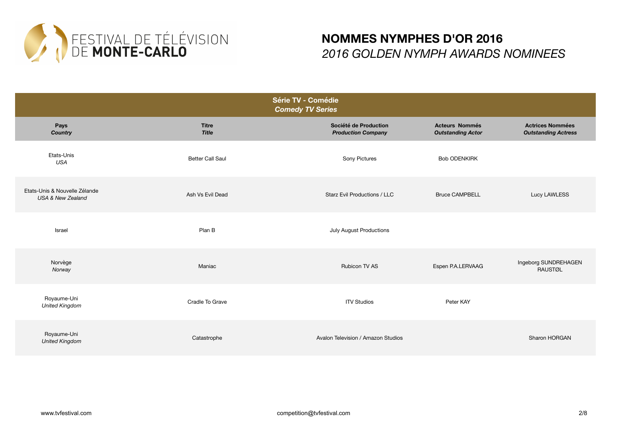

| Série TV - Comédie<br><b>Comedy TV Series</b>                 |                              |                                                    |                                                   |                                                       |
|---------------------------------------------------------------|------------------------------|----------------------------------------------------|---------------------------------------------------|-------------------------------------------------------|
| Pays<br><b>Country</b>                                        | <b>Titre</b><br><b>Title</b> | Société de Production<br><b>Production Company</b> | <b>Acteurs Nommés</b><br><b>Outstanding Actor</b> | <b>Actrices Nommées</b><br><b>Outstanding Actress</b> |
| Etats-Unis<br><b>USA</b>                                      | <b>Better Call Saul</b>      | Sony Pictures                                      | <b>Bob ODENKIRK</b>                               |                                                       |
| Etats-Unis & Nouvelle Zélande<br><b>USA &amp; New Zealand</b> | Ash Vs Evil Dead             | Starz Evil Productions / LLC                       | <b>Bruce CAMPBELL</b>                             | Lucy LAWLESS                                          |
| Israel                                                        | Plan B                       | July August Productions                            |                                                   |                                                       |
| Norvège<br>Norway                                             | Maniac                       | <b>Rubicon TV AS</b>                               | Espen P.A.LERVAAG                                 | Ingeborg SUNDREHAGEN<br><b>RAUSTØL</b>                |
| Royaume-Uni<br><b>United Kingdom</b>                          | Cradle To Grave              | <b>ITV Studios</b>                                 | Peter KAY                                         |                                                       |
| Royaume-Uni<br><b>United Kingdom</b>                          | Catastrophe                  | Avalon Television / Amazon Studios                 |                                                   | Sharon HORGAN                                         |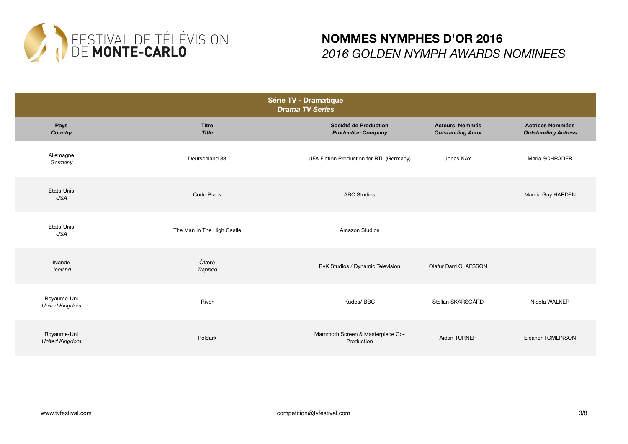

| Série TV - Dramatique<br><b>Drama TV Series</b> |                              |                                                    |                                                   |                                                       |
|-------------------------------------------------|------------------------------|----------------------------------------------------|---------------------------------------------------|-------------------------------------------------------|
| Pays<br><b>Country</b>                          | <b>Titre</b><br><b>Title</b> | Société de Production<br><b>Production Company</b> | <b>Acteurs Nommés</b><br><b>Outstanding Actor</b> | <b>Actrices Nommées</b><br><b>Outstanding Actress</b> |
| Allemagne<br>Germany                            | Deutschland 83               | UFA Fiction Production for RTL (Germany)           | Jonas NAY                                         | Maria SCHRADER                                        |
| Etats-Unis<br><b>USA</b>                        | Code Black                   | <b>ABC Studios</b>                                 |                                                   | Marcia Gay HARDEN                                     |
| Etats-Unis<br><b>USA</b>                        | The Man In The High Castle   | <b>Amazon Studios</b>                              |                                                   |                                                       |
| Islande<br>Iceland                              | Ófærð<br><b>Trapped</b>      | RvK Studios / Dynamic Television                   | Olafur Darri OLAFSSON                             |                                                       |
| Royaume-Uni<br><b>United Kingdom</b>            | River                        | Kudos/ BBC                                         | Stellan SKARSGÅRD                                 | Nicola WALKER                                         |
| Royaume-Uni<br><b>United Kingdom</b>            | Poldark                      | Mammoth Screen & Masterpiece Co-<br>Production     | Aidan TURNER                                      | Eleanor TOMLINSON                                     |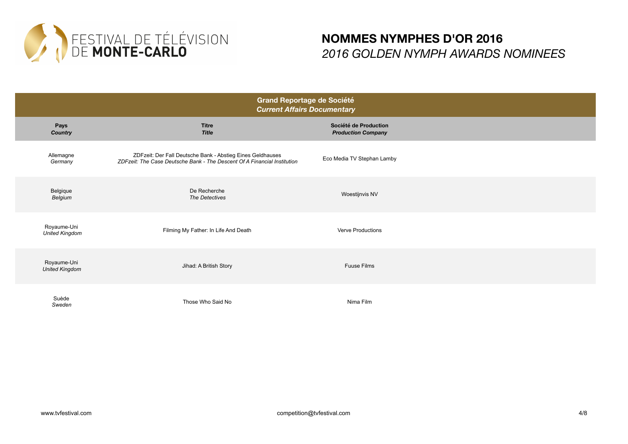

| <b>Grand Reportage de Société</b><br><b>Current Affairs Documentary</b> |                                                                                                                                        |                                                    |  |
|-------------------------------------------------------------------------|----------------------------------------------------------------------------------------------------------------------------------------|----------------------------------------------------|--|
| Pays<br><b>Country</b>                                                  | <b>Titre</b><br><b>Title</b>                                                                                                           | Société de Production<br><b>Production Company</b> |  |
| Allemagne<br>Germany                                                    | ZDFzeit: Der Fall Deutsche Bank - Abstieg Eines Geldhauses<br>ZDFzeit: The Case Deutsche Bank - The Descent Of A Financial Institution | Eco Media TV Stephan Lamby                         |  |
| Belgique<br>Belgium                                                     | De Recherche<br>The Detectives                                                                                                         | Woestijnvis NV                                     |  |
| Royaume-Uni<br><b>United Kingdom</b>                                    | Filming My Father: In Life And Death                                                                                                   | <b>Verve Productions</b>                           |  |
| Royaume-Uni<br><b>United Kingdom</b>                                    | Jihad: A British Story                                                                                                                 | <b>Fuuse Films</b>                                 |  |
| Suède<br>Sweden                                                         | Those Who Said No                                                                                                                      | Nima Film                                          |  |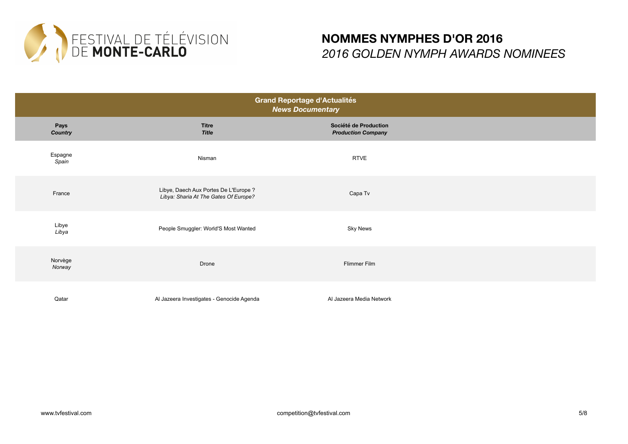

| <b>Grand Reportage d'Actualités</b><br><b>News Documentary</b> |                                                                                |                                                    |  |  |
|----------------------------------------------------------------|--------------------------------------------------------------------------------|----------------------------------------------------|--|--|
| Pays<br>Country                                                | <b>Titre</b><br><b>Title</b>                                                   | Société de Production<br><b>Production Company</b> |  |  |
| Espagne<br>Spain                                               | Nisman                                                                         | <b>RTVE</b>                                        |  |  |
| France                                                         | Libye, Daech Aux Portes De L'Europe ?<br>Libya: Sharia At The Gates Of Europe? | Capa Tv                                            |  |  |
| Libye<br>Libya                                                 | People Smuggler: World'S Most Wanted                                           | <b>Sky News</b>                                    |  |  |
| Norvège<br>Norway                                              | Drone                                                                          | Flimmer Film                                       |  |  |
| Qatar                                                          | Al Jazeera Investigates - Genocide Agenda                                      | Al Jazeera Media Network                           |  |  |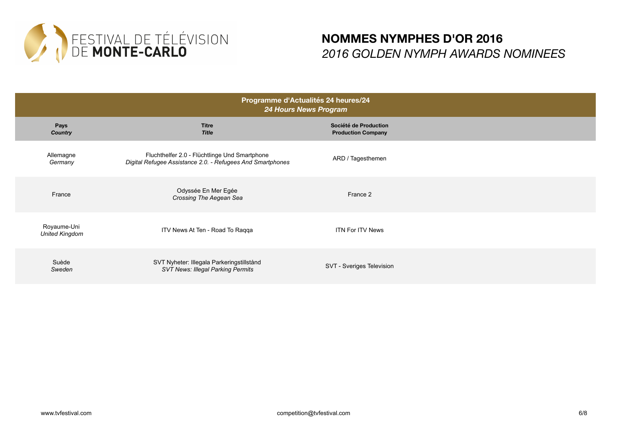

| Programme d'Actualités 24 heures/24<br>24 Hours News Program |                                                                                                             |                                                    |  |
|--------------------------------------------------------------|-------------------------------------------------------------------------------------------------------------|----------------------------------------------------|--|
| Pays<br><b>Country</b>                                       | <b>Titre</b><br><b>Title</b>                                                                                | Société de Production<br><b>Production Company</b> |  |
| Allemagne<br>Germany                                         | Fluchthelfer 2.0 - Flüchtlinge Und Smartphone<br>Digital Refugee Assistance 2.0. - Refugees And Smartphones | ARD / Tagesthemen                                  |  |
| France                                                       | Odyssée En Mer Egée<br>Crossing The Aegean Sea                                                              | France 2                                           |  |
| Royaume-Uni<br><b>United Kingdom</b>                         | ITV News At Ten - Road To Raqqa                                                                             | <b>ITN For ITV News</b>                            |  |
| Suède<br>Sweden                                              | SVT Nyheter: Illegala Parkeringstillstånd<br><b>SVT News: Illegal Parking Permits</b>                       | SVT - Sveriges Television                          |  |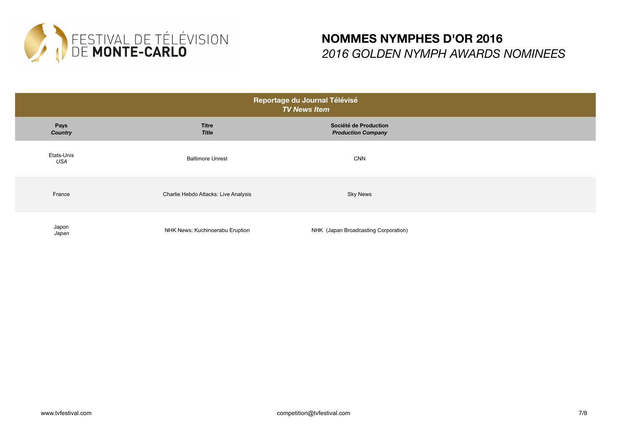

| Reportage du Journal Télévisé<br><b>TV News Item</b> |                                      |                                                    |  |
|------------------------------------------------------|--------------------------------------|----------------------------------------------------|--|
| Pays<br><b>Country</b>                               | <b>Titre</b><br><b>Title</b>         | Société de Production<br><b>Production Company</b> |  |
| Etats-Unis<br>USA                                    | <b>Baltimore Unrest</b>              | <b>CNN</b>                                         |  |
| France                                               | Charlie Hebdo Attacks: Live Analysis | <b>Sky News</b>                                    |  |
| Japon<br>Japan                                       | NHK News: Kuchinoerabu Eruption      | NHK (Japan Broadcasting Corporation)               |  |